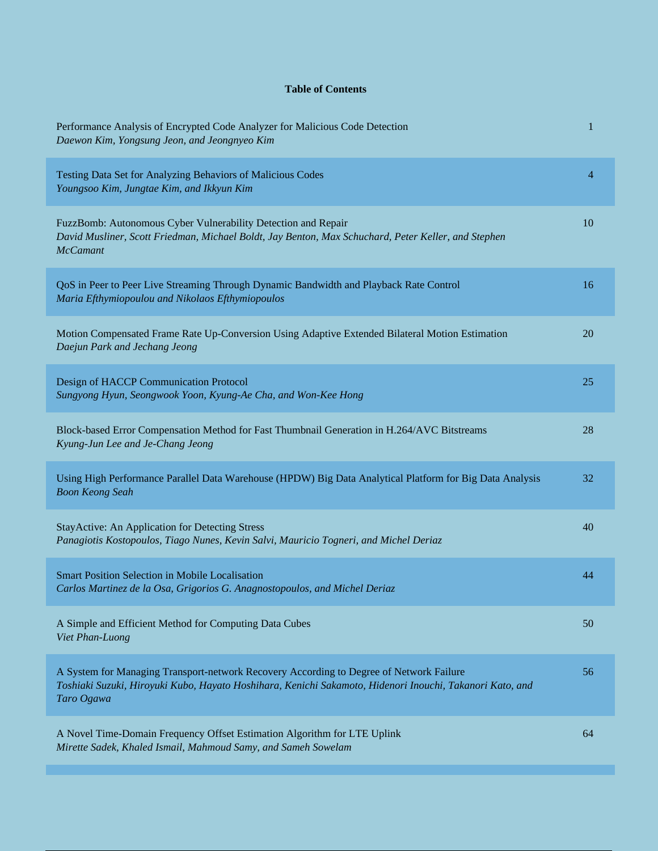## **Table of Contents**

| Performance Analysis of Encrypted Code Analyzer for Malicious Code Detection<br>Daewon Kim, Yongsung Jeon, and Jeongnyeo Kim                                                                                      | 1  |
|-------------------------------------------------------------------------------------------------------------------------------------------------------------------------------------------------------------------|----|
| Testing Data Set for Analyzing Behaviors of Malicious Codes<br>Youngsoo Kim, Jungtae Kim, and Ikkyun Kim                                                                                                          | 4  |
| FuzzBomb: Autonomous Cyber Vulnerability Detection and Repair<br>David Musliner, Scott Friedman, Michael Boldt, Jay Benton, Max Schuchard, Peter Keller, and Stephen<br><b>McCamant</b>                           | 10 |
| QoS in Peer to Peer Live Streaming Through Dynamic Bandwidth and Playback Rate Control<br>Maria Efthymiopoulou and Nikolaos Efthymiopoulos                                                                        | 16 |
| Motion Compensated Frame Rate Up-Conversion Using Adaptive Extended Bilateral Motion Estimation<br>Daejun Park and Jechang Jeong                                                                                  | 20 |
| Design of HACCP Communication Protocol<br>Sungyong Hyun, Seongwook Yoon, Kyung-Ae Cha, and Won-Kee Hong                                                                                                           | 25 |
| Block-based Error Compensation Method for Fast Thumbnail Generation in H.264/AVC Bitstreams<br>Kyung-Jun Lee and Je-Chang Jeong                                                                                   | 28 |
| Using High Performance Parallel Data Warehouse (HPDW) Big Data Analytical Platform for Big Data Analysis<br><b>Boon Keong Seah</b>                                                                                | 32 |
| <b>StayActive: An Application for Detecting Stress</b><br>Panagiotis Kostopoulos, Tiago Nunes, Kevin Salvi, Mauricio Togneri, and Michel Deriaz                                                                   | 40 |
| <b>Smart Position Selection in Mobile Localisation</b><br>Carlos Martinez de la Osa, Grigorios G. Anagnostopoulos, and Michel Deriaz                                                                              | 44 |
| A Simple and Efficient Method for Computing Data Cubes<br>Viet Phan-Luong                                                                                                                                         | 50 |
| A System for Managing Transport-network Recovery According to Degree of Network Failure<br>Toshiaki Suzuki, Hiroyuki Kubo, Hayato Hoshihara, Kenichi Sakamoto, Hidenori Inouchi, Takanori Kato, and<br>Taro Ogawa | 56 |
| A Novel Time-Domain Frequency Offset Estimation Algorithm for LTE Uplink<br>Mirette Sadek, Khaled Ismail, Mahmoud Samy, and Sameh Sowelam                                                                         | 64 |